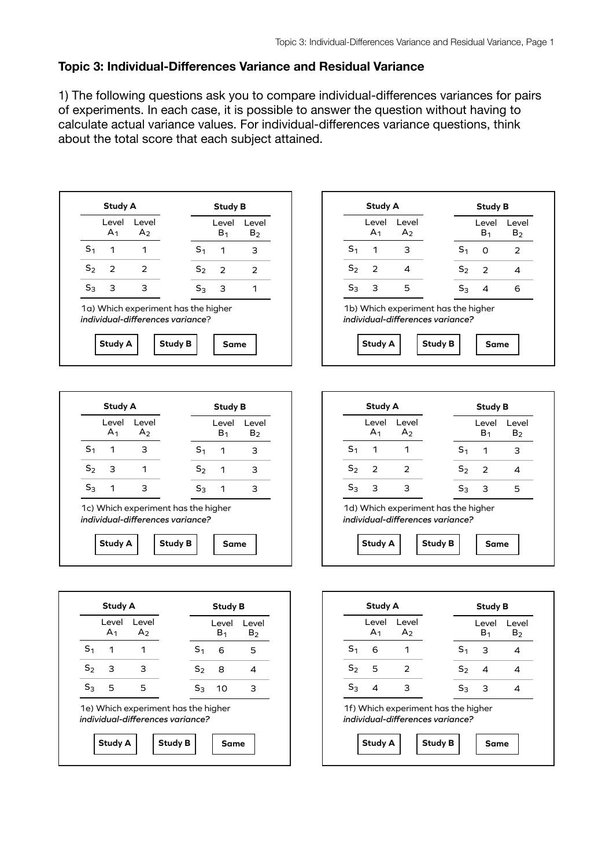#### **Topic 3: Individual-Differences Variance and Residual Variance**

1) The following questions ask you to compare individual-differences variances for pairs of experiments. In each case, it is possible to answer the question without having to calculate actual variance values. For individual-differences variance questions, think about the total score that each subject attained.



| <b>Study A</b> |                          |                          |                                                                         | <b>Study B</b> |                         |                         |
|----------------|--------------------------|--------------------------|-------------------------------------------------------------------------|----------------|-------------------------|-------------------------|
|                | I evel<br>A <sub>1</sub> | I evel<br>A <sub>2</sub> |                                                                         |                | Level<br>B <sub>1</sub> | Level<br>B <sub>2</sub> |
| S <sub>1</sub> | 1                        | з                        |                                                                         | S <sub>1</sub> | ი                       | $\mathcal{P}$           |
| S <sub>2</sub> | $\mathcal{P}$            | 4                        |                                                                         | $S_2$          | 2                       | 4                       |
| $S_3$          | з                        | 5                        |                                                                         | $S_3$          | 4                       | 6                       |
|                |                          |                          | 1b) Which experiment has the higher<br>individual-differences variance? |                |                         |                         |
|                | <b>Study A</b>           |                          | <b>Study B</b>                                                          |                | <b>Same</b>             |                         |

|                | Level<br>A <sub>1</sub> | Level<br>A <sub>2</sub> |                | Level<br>B <sub>1</sub> | Level<br>B <sub>2</sub> |
|----------------|-------------------------|-------------------------|----------------|-------------------------|-------------------------|
| S <sub>1</sub> | 1                       | з                       | S <sub>1</sub> | 1                       | З                       |
| $S_2$          | з                       |                         | $S_2$          | 1                       | з                       |
| $S_3$          | 1                       | З                       | $S_3$          | 1                       | з                       |





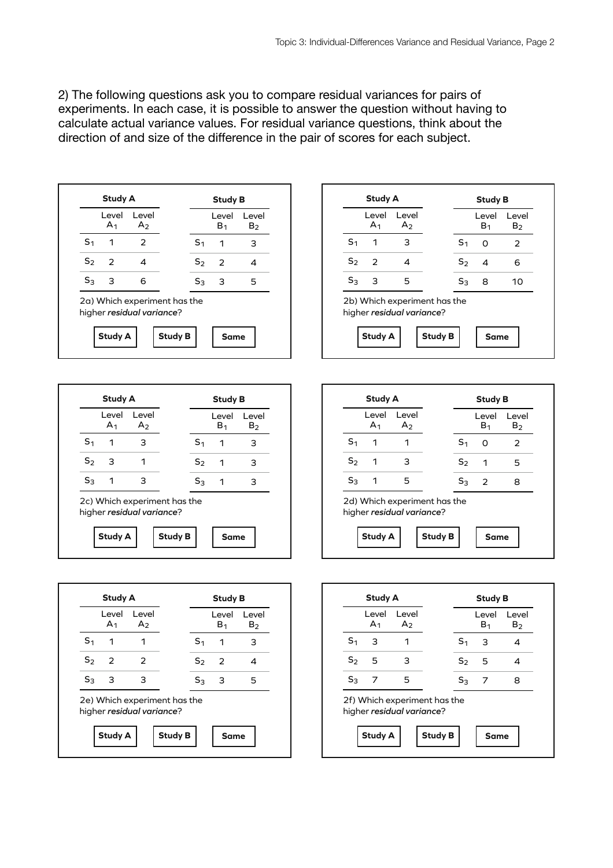2) The following questions ask you to compare residual variances for pairs of experiments. In each case, it is possible to answer the question without having to calculate actual variance values. For residual variance questions, think about the direction of and size of the difference in the pair of scores for each subject.





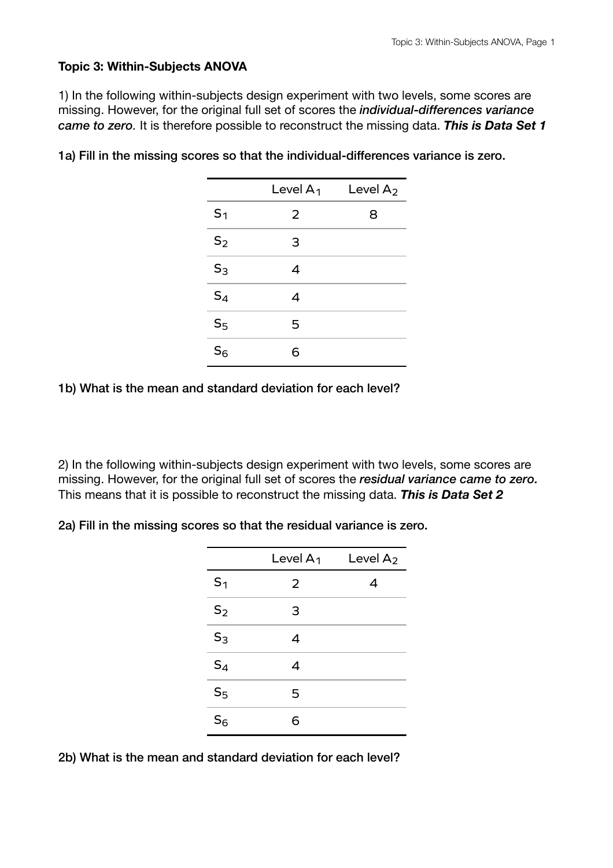### **Topic 3: Within-Subjects ANOVA**

1) In the following within-subjects design experiment with two levels, some scores are missing. However, for the original full set of scores the *individual-differences variance came to zero.* It is therefore possible to reconstruct the missing data. *This is Data Set 1*

|                | Level $A_1$ | Level $A_2$ |
|----------------|-------------|-------------|
| S <sub>1</sub> | 2           | 8           |
| $S_2$          | 3           |             |
| $S_3$          | 4           |             |
| $S_4$          | 4           |             |
| S <sub>5</sub> | 5           |             |
| $S_6$          | 6           |             |

1a) Fill in the missing scores so that the individual-differences variance is zero.

1b) What is the mean and standard deviation for each level?

2) In the following within-subjects design experiment with two levels, some scores are missing. However, for the original full set of scores the *residual variance came to zero.* This means that it is possible to reconstruct the missing data. *This is Data Set 2*

2a) Fill in the missing scores so that the residual variance is zero.

|                | Level $A_1$ | Level A <sub>2</sub> |
|----------------|-------------|----------------------|
| S <sub>1</sub> | 2           | 4                    |
| $S_2$          | 3           |                      |
| $S_3$          | 4           |                      |
| $S_4$          | 4           |                      |
| S <sub>5</sub> | 5           |                      |
| S <sub>6</sub> |             |                      |

2b) What is the mean and standard deviation for each level?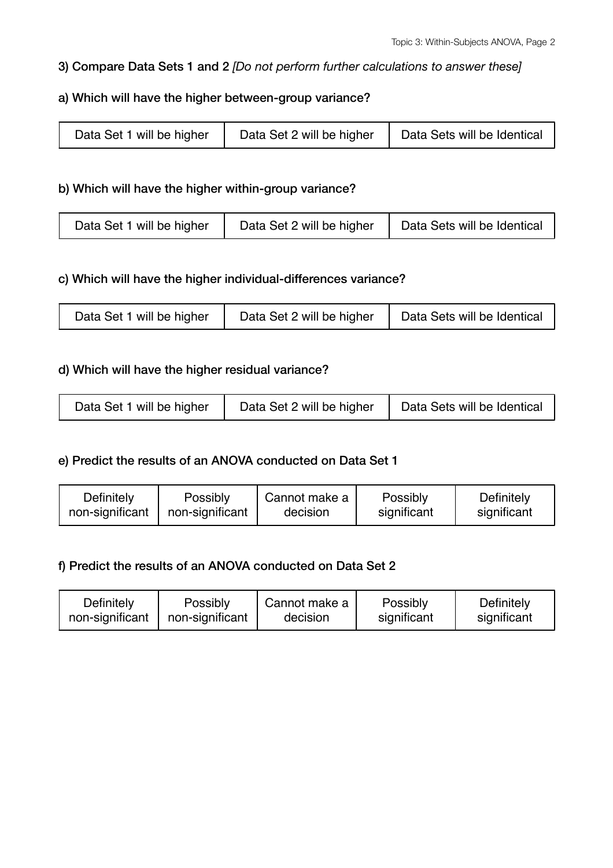# 3) Compare Data Sets 1 and 2 *[Do not perform further calculations to answer these]*

# a) Which will have the higher between-group variance?

| Data Set 1 will be higher | Data Set 2 will be higher | Data Sets will be Identical |
|---------------------------|---------------------------|-----------------------------|
|---------------------------|---------------------------|-----------------------------|

### b) Which will have the higher within-group variance?

| Data Set 1 will be higher | Data Set 2 will be higher | Data Sets will be Identical |
|---------------------------|---------------------------|-----------------------------|
|---------------------------|---------------------------|-----------------------------|

### c) Which will have the higher individual-differences variance?

| Data Set 1 will be higher | Data Set 2 will be higher | Data Sets will be Identical |
|---------------------------|---------------------------|-----------------------------|
|---------------------------|---------------------------|-----------------------------|

# d) Which will have the higher residual variance?

| Data Set 1 will be higher | Data Set 2 will be higher | Data Sets will be Identical |
|---------------------------|---------------------------|-----------------------------|
|---------------------------|---------------------------|-----------------------------|

# e) Predict the results of an ANOVA conducted on Data Set 1

| Definitely      | Possibly        | Cannot make a | Possibly    | Definitely  |
|-----------------|-----------------|---------------|-------------|-------------|
| non-significant | non-significant | decision      | significant | significant |
|                 |                 |               |             |             |

#### f) Predict the results of an ANOVA conducted on Data Set 2

| Definitely      | Possibly        | Cannot make a | Possibly    | Definitely  |
|-----------------|-----------------|---------------|-------------|-------------|
| non-significant | non-significant | decision      | significant | significant |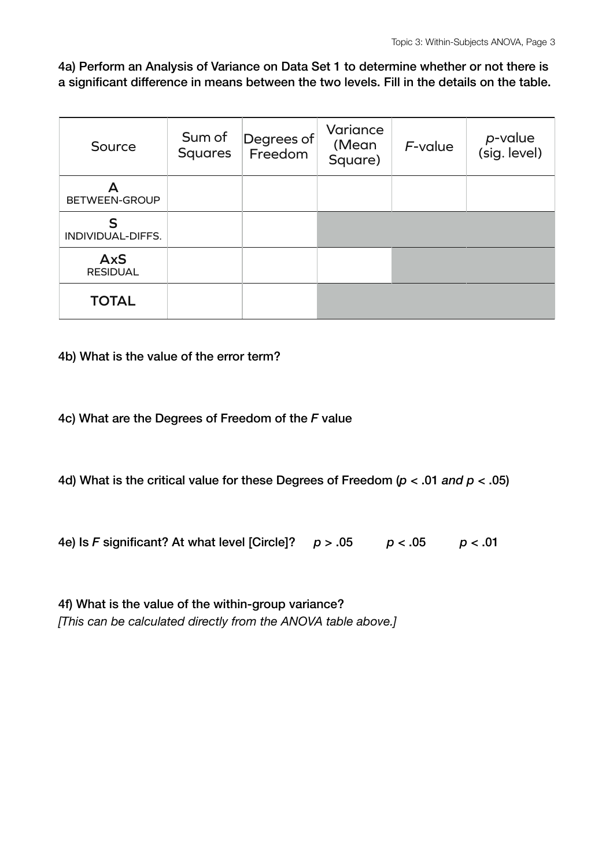4a) Perform an Analysis of Variance on Data Set 1 to determine whether or not there is a significant difference in means between the two levels. Fill in the details on the table.

| Source                        | Sum of<br><b>Squares</b> | Degrees of<br>Freedom | Variance<br>(Mean<br>Square) | $F$ -value | p-value<br>(sig. level) |
|-------------------------------|--------------------------|-----------------------|------------------------------|------------|-------------------------|
| BETWEEN-GROUP                 |                          |                       |                              |            |                         |
| S<br>INDIVIDUAL-DIFFS.        |                          |                       |                              |            |                         |
| <b>AxS</b><br><b>RESIDUAL</b> |                          |                       |                              |            |                         |
| <b>TOTAL</b>                  |                          |                       |                              |            |                         |

4b) What is the value of the error term?

4c) What are the Degrees of Freedom of the *F* value

4d) What is the critical value for these Degrees of Freedom (*p* < .01 *and p* < .05)

4e) Is *F* significant? At what level [Circle]? *p* > .05 *p* < .05 *p* < .01

| 4f) What is the value of the within-group variance?           |  |
|---------------------------------------------------------------|--|
| [This can be calculated directly from the ANOVA table above.] |  |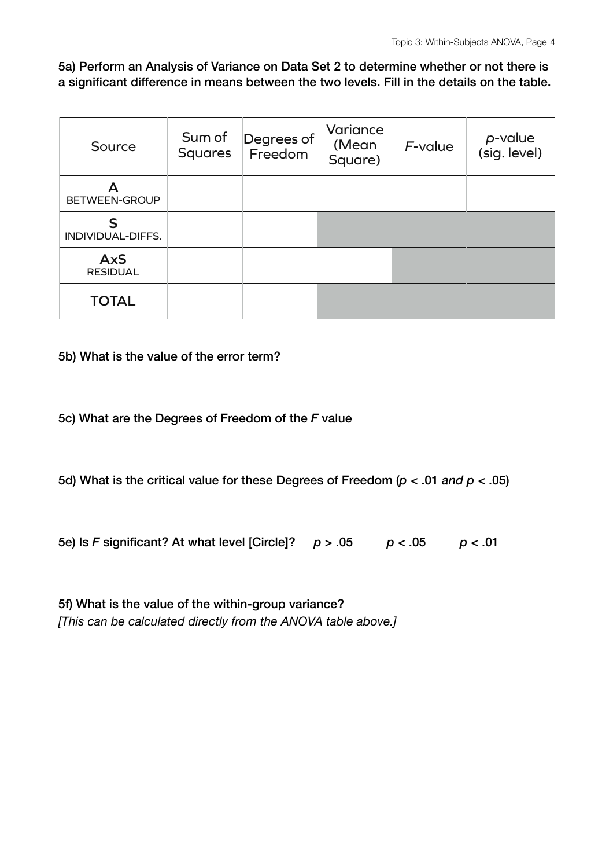5a) Perform an Analysis of Variance on Data Set 2 to determine whether or not there is a significant difference in means between the two levels. Fill in the details on the table.

| Source                        | Sum of<br><b>Squares</b> | Degrees of<br>Freedom | Variance<br>(Mean<br>Square) | $F$ -value | p-value<br>(sig. level) |
|-------------------------------|--------------------------|-----------------------|------------------------------|------------|-------------------------|
| BETWEEN-GROUP                 |                          |                       |                              |            |                         |
| ς<br>INDIVIDUAL-DIFFS.        |                          |                       |                              |            |                         |
| <b>AxS</b><br><b>RESIDUAL</b> |                          |                       |                              |            |                         |
| <b>TOTAL</b>                  |                          |                       |                              |            |                         |

5b) What is the value of the error term?

5c) What are the Degrees of Freedom of the *F* value

5d) What is the critical value for these Degrees of Freedom (*p* < .01 *and p* < .05)

5e) Is *F* significant? At what level [Circle]? *p* > .05 *p* < .05 *p* < .01

| 5f) What is the value of the within-group variance?           |  |
|---------------------------------------------------------------|--|
| [This can be calculated directly from the ANOVA table above.] |  |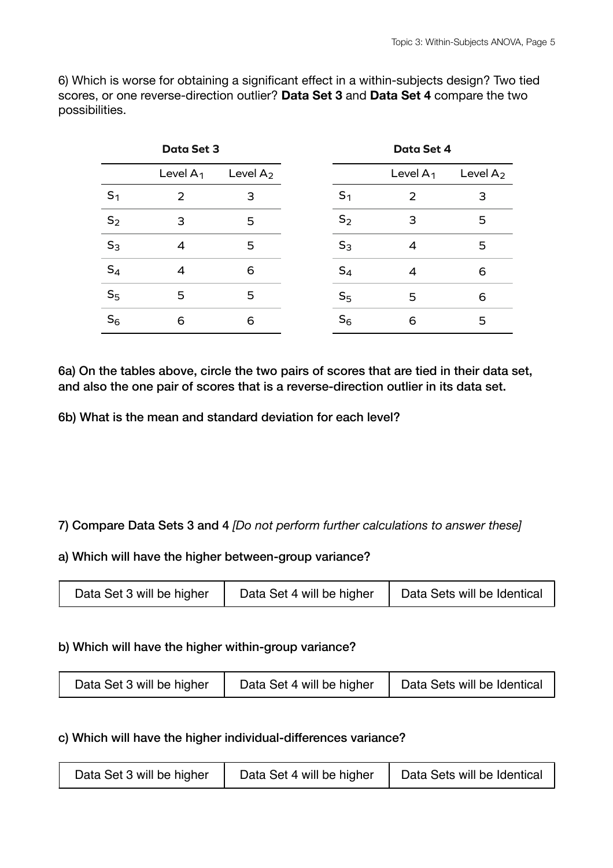6) Which is worse for obtaining a significant effect in a within-subjects design? Two tied scores, or one reverse-direction outlier? **Data Set 3** and **Data Set 4** compare the two possibilities.

| <b>Data Set 3</b> |                |             | Data Set 4     |             |             |
|-------------------|----------------|-------------|----------------|-------------|-------------|
|                   | Level $A_1$    | Level $A_2$ |                | Level $A_1$ | Level $A_2$ |
| S <sub>1</sub>    | 2              | 3           | S <sub>1</sub> | 2           | З           |
| S <sub>2</sub>    | 3              | 5           | $S_2$          | 3           | 5           |
| $S_3$             | $\overline{4}$ | 5           | $S_3$          | 4           | 5           |
| $S_4$             | $\overline{4}$ | 6           | $S_4$          | 4           | 6           |
| S <sub>5</sub>    | 5              | 5           | S <sub>5</sub> | 5           | 6           |
| $S_6$             | 6              | 6           | $S_6$          | 6           | 5           |

6a) On the tables above, circle the two pairs of scores that are tied in their data set, and also the one pair of scores that is a reverse-direction outlier in its data set.

6b) What is the mean and standard deviation for each level?

# 7) Compare Data Sets 3 and 4 *[Do not perform further calculations to answer these]*

#### a) Which will have the higher between-group variance?

| Data Set 3 will be higher | Data Set 4 will be higher | Data Sets will be Identical |
|---------------------------|---------------------------|-----------------------------|
|                           |                           |                             |

#### b) Which will have the higher within-group variance?

| Data Set 4 will be higher<br>Data Set 3 will be higher | Data Sets will be Identical |
|--------------------------------------------------------|-----------------------------|
|--------------------------------------------------------|-----------------------------|

#### c) Which will have the higher individual-differences variance?

| Data Set 3 will be higher | Data Set 4 will be higher | Data Sets will be Identical |
|---------------------------|---------------------------|-----------------------------|
|---------------------------|---------------------------|-----------------------------|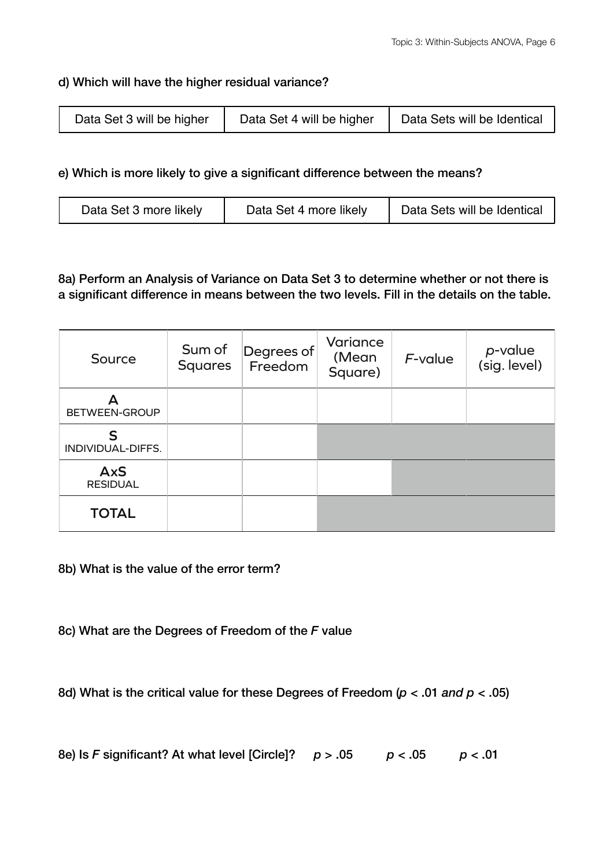### d) Which will have the higher residual variance?

| Data Set 3 will be higher | Data Set 4 will be higher | Data Sets will be Identical |
|---------------------------|---------------------------|-----------------------------|
|---------------------------|---------------------------|-----------------------------|

### e) Which is more likely to give a significant difference between the means?

| Data Set 3 more likely | Data Set 4 more likely | Data Sets will be Identical |
|------------------------|------------------------|-----------------------------|
|------------------------|------------------------|-----------------------------|

8a) Perform an Analysis of Variance on Data Set 3 to determine whether or not there is a significant difference in means between the two levels. Fill in the details on the table.

| Source                        | Sum of<br><b>Squares</b> | Degrees of<br>Freedom | Variance<br>(Mean<br>Square) | F-value | <i>p</i> -value<br>(sig. level) |
|-------------------------------|--------------------------|-----------------------|------------------------------|---------|---------------------------------|
| BETWEEN-GROUP                 |                          |                       |                              |         |                                 |
| S<br>INDIVIDUAL-DIFFS.        |                          |                       |                              |         |                                 |
| <b>AxS</b><br><b>RESIDUAL</b> |                          |                       |                              |         |                                 |
| <b>TOTAL</b>                  |                          |                       |                              |         |                                 |

8b) What is the value of the error term?

8c) What are the Degrees of Freedom of the *F* value

8d) What is the critical value for these Degrees of Freedom (*p* < .01 *and p* < .05)

8e) Is F significant? At what level [Circle]<sup>?</sup> 
$$
p > .05
$$
  $p < .05$   $p < .01$